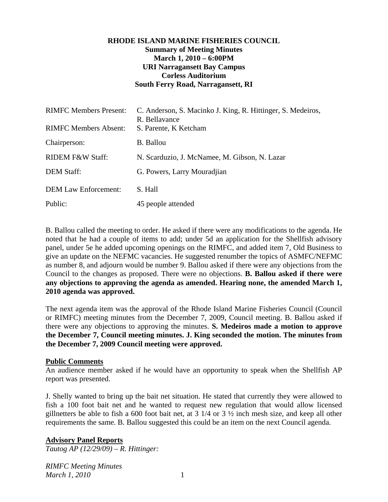## **RHODE ISLAND MARINE FISHERIES COUNCIL Summary of Meeting Minutes March 1, 2010 – 6:00PM URI Narragansett Bay Campus Corless Auditorium South Ferry Road, Narragansett, RI**

| <b>RIMFC Members Present:</b> | C. Anderson, S. Macinko J. King, R. Hittinger, S. Medeiros,<br>R. Bellavance |
|-------------------------------|------------------------------------------------------------------------------|
| <b>RIMFC Members Absent:</b>  | S. Parente, K Ketcham                                                        |
| Chairperson:                  | <b>B.</b> Ballou                                                             |
| RIDEM F&W Staff:              | N. Scarduzio, J. McNamee, M. Gibson, N. Lazar                                |
| <b>DEM Staff:</b>             | G. Powers, Larry Mouradjian                                                  |
| <b>DEM Law Enforcement:</b>   | S. Hall                                                                      |
| Public:                       | 45 people attended                                                           |

B. Ballou called the meeting to order. He asked if there were any modifications to the agenda. He noted that he had a couple of items to add; under 5d an application for the Shellfish advisory panel, under 5e he added upcoming openings on the RIMFC, and added item 7, Old Business to give an update on the NEFMC vacancies. He suggested renumber the topics of ASMFC/NEFMC as number 8, and adjourn would be number 9. Ballou asked if there were any objections from the Council to the changes as proposed. There were no objections. **B. Ballou asked if there were any objections to approving the agenda as amended. Hearing none, the amended March 1, 2010 agenda was approved.**

The next agenda item was the approval of the Rhode Island Marine Fisheries Council (Council or RIMFC) meeting minutes from the December 7, 2009, Council meeting. B. Ballou asked if there were any objections to approving the minutes. **S. Medeiros made a motion to approve the December 7, Council meeting minutes. J. King seconded the motion. The minutes from the December 7, 2009 Council meeting were approved.**

#### **Public Comments**

An audience member asked if he would have an opportunity to speak when the Shellfish AP report was presented.

J. Shelly wanted to bring up the bait net situation. He stated that currently they were allowed to fish a 100 foot bait net and he wanted to request new regulation that would allow licensed gillnetters be able to fish a 600 foot bait net, at  $3 \frac{1}{4}$  or  $3 \frac{1}{2}$  inch mesh size, and keep all other requirements the same. B. Ballou suggested this could be an item on the next Council agenda.

#### **Advisory Panel Reports**

*Tautog AP (12/29/09) – R. Hittinger:*

*RIMFC Meeting Minutes March 1, 2010* 1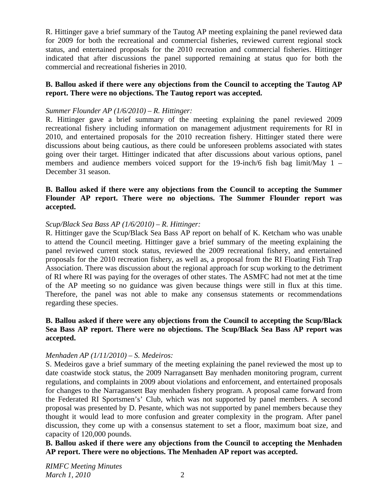R. Hittinger gave a brief summary of the Tautog AP meeting explaining the panel reviewed data for 2009 for both the recreational and commercial fisheries, reviewed current regional stock status, and entertained proposals for the 2010 recreation and commercial fisheries. Hittinger indicated that after discussions the panel supported remaining at status quo for both the commercial and recreational fisheries in 2010.

### **B. Ballou asked if there were any objections from the Council to accepting the Tautog AP report. There were no objections. The Tautog report was accepted.**

#### *Summer Flounder AP (1/6/2010) – R. Hittinger:*

R. Hittinger gave a brief summary of the meeting explaining the panel reviewed 2009 recreational fishery including information on management adjustment requirements for RI in 2010, and entertained proposals for the 2010 recreation fishery. Hittinger stated there were discussions about being cautious, as there could be unforeseen problems associated with states going over their target. Hittinger indicated that after discussions about various options, panel members and audience members voiced support for the 19-inch/6 fish bag limit/May 1 – December 31 season.

#### **B. Ballou asked if there were any objections from the Council to accepting the Summer Flounder AP report. There were no objections. The Summer Flounder report was accepted.**

#### *Scup/Black Sea Bass AP (1/6/2010) – R. Hittinger:*

R. Hittinger gave the Scup/Black Sea Bass AP report on behalf of K. Ketcham who was unable to attend the Council meeting. Hittinger gave a brief summary of the meeting explaining the panel reviewed current stock status, reviewed the 2009 recreational fishery, and entertained proposals for the 2010 recreation fishery, as well as, a proposal from the RI Floating Fish Trap Association. There was discussion about the regional approach for scup working to the detriment of RI where RI was paying for the overages of other states. The ASMFC had not met at the time of the AP meeting so no guidance was given because things were still in flux at this time. Therefore, the panel was not able to make any consensus statements or recommendations regarding these species.

#### **B. Ballou asked if there were any objections from the Council to accepting the Scup/Black Sea Bass AP report. There were no objections. The Scup/Black Sea Bass AP report was accepted.**

## *Menhaden AP (1/11/2010) – S. Medeiros:*

S. Medeiros gave a brief summary of the meeting explaining the panel reviewed the most up to date coastwide stock status, the 2009 Narragansett Bay menhaden monitoring program, current regulations, and complaints in 2009 about violations and enforcement, and entertained proposals for changes to the Narragansett Bay menhaden fishery program. A proposal came forward from the Federated RI Sportsmen's' Club, which was not supported by panel members. A second proposal was presented by D. Pesante, which was not supported by panel members because they thought it would lead to more confusion and greater complexity in the program. After panel discussion, they come up with a consensus statement to set a floor, maximum boat size, and capacity of 120,000 pounds.

**B. Ballou asked if there were any objections from the Council to accepting the Menhaden AP report. There were no objections. The Menhaden AP report was accepted.**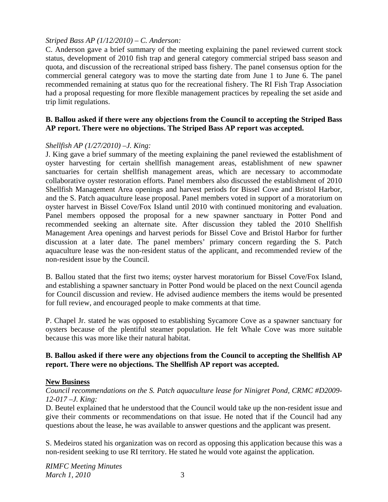### *Striped Bass AP (1/12/2010) – C. Anderson:*

C. Anderson gave a brief summary of the meeting explaining the panel reviewed current stock status, development of 2010 fish trap and general category commercial striped bass season and quota, and discussion of the recreational striped bass fishery. The panel consensus option for the commercial general category was to move the starting date from June 1 to June 6. The panel recommended remaining at status quo for the recreational fishery. The RI Fish Trap Association had a proposal requesting for more flexible management practices by repealing the set aside and trip limit regulations.

## **B. Ballou asked if there were any objections from the Council to accepting the Striped Bass AP report. There were no objections. The Striped Bass AP report was accepted.**

#### *Shellfish AP (1/27/2010) –J. King:*

J. King gave a brief summary of the meeting explaining the panel reviewed the establishment of oyster harvesting for certain shellfish management areas, establishment of new spawner sanctuaries for certain shellfish management areas, which are necessary to accommodate collaborative oyster restoration efforts. Panel members also discussed the establishment of 2010 Shellfish Management Area openings and harvest periods for Bissel Cove and Bristol Harbor, and the S. Patch aquaculture lease proposal. Panel members voted in support of a moratorium on oyster harvest in Bissel Cove/Fox Island until 2010 with continued monitoring and evaluation. Panel members opposed the proposal for a new spawner sanctuary in Potter Pond and recommended seeking an alternate site. After discussion they tabled the 2010 Shellfish Management Area openings and harvest periods for Bissel Cove and Bristol Harbor for further discussion at a later date. The panel members' primary concern regarding the S. Patch aquaculture lease was the non-resident status of the applicant, and recommended review of the non-resident issue by the Council.

B. Ballou stated that the first two items; oyster harvest moratorium for Bissel Cove/Fox Island, and establishing a spawner sanctuary in Potter Pond would be placed on the next Council agenda for Council discussion and review. He advised audience members the items would be presented for full review, and encouraged people to make comments at that time.

P. Chapel Jr. stated he was opposed to establishing Sycamore Cove as a spawner sanctuary for oysters because of the plentiful steamer population. He felt Whale Cove was more suitable because this was more like their natural habitat.

## **B. Ballou asked if there were any objections from the Council to accepting the Shellfish AP report. There were no objections. The Shellfish AP report was accepted.**

#### **New Business**

*Council recommendations on the S. Patch aquaculture lease for Ninigret Pond, CRMC #D2009- 12-017 –J. King:*

D. Beutel explained that he understood that the Council would take up the non-resident issue and give their comments or recommendations on that issue. He noted that if the Council had any questions about the lease, he was available to answer questions and the applicant was present.

S. Medeiros stated his organization was on record as opposing this application because this was a non-resident seeking to use RI territory. He stated he would vote against the application.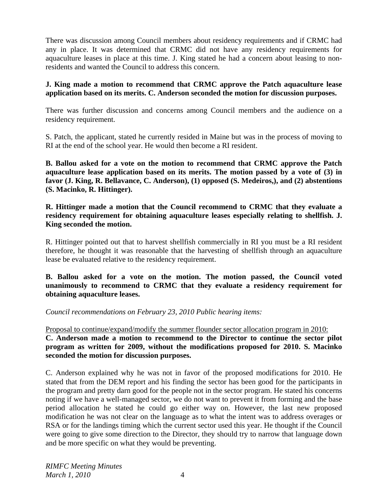There was discussion among Council members about residency requirements and if CRMC had any in place. It was determined that CRMC did not have any residency requirements for aquaculture leases in place at this time. J. King stated he had a concern about leasing to nonresidents and wanted the Council to address this concern.

## **J. King made a motion to recommend that CRMC approve the Patch aquaculture lease application based on its merits. C. Anderson seconded the motion for discussion purposes.**

There was further discussion and concerns among Council members and the audience on a residency requirement.

S. Patch, the applicant, stated he currently resided in Maine but was in the process of moving to RI at the end of the school year. He would then become a RI resident.

**B. Ballou asked for a vote on the motion to recommend that CRMC approve the Patch aquaculture lease application based on its merits. The motion passed by a vote of (3) in favor (J. King, R. Bellavance, C. Anderson), (1) opposed (S. Medeiros,), and (2) abstentions (S. Macinko, R. Hittinger).**

**R. Hittinger made a motion that the Council recommend to CRMC that they evaluate a residency requirement for obtaining aquaculture leases especially relating to shellfish. J. King seconded the motion.** 

R. Hittinger pointed out that to harvest shellfish commercially in RI you must be a RI resident therefore, he thought it was reasonable that the harvesting of shellfish through an aquaculture lease be evaluated relative to the residency requirement.

**B. Ballou asked for a vote on the motion. The motion passed, the Council voted unanimously to recommend to CRMC that they evaluate a residency requirement for obtaining aquaculture leases.**

*Council recommendations on February 23, 2010 Public hearing items:* 

Proposal to continue/expand/modify the summer flounder sector allocation program in 2010: **C. Anderson made a motion to recommend to the Director to continue the sector pilot program as written for 2009, without the modifications proposed for 2010. S. Macinko seconded the motion for discussion purposes.** 

C. Anderson explained why he was not in favor of the proposed modifications for 2010. He stated that from the DEM report and his finding the sector has been good for the participants in the program and pretty darn good for the people not in the sector program. He stated his concerns noting if we have a well-managed sector, we do not want to prevent it from forming and the base period allocation he stated he could go either way on. However, the last new proposed modification he was not clear on the language as to what the intent was to address overages or RSA or for the landings timing which the current sector used this year. He thought if the Council were going to give some direction to the Director, they should try to narrow that language down and be more specific on what they would be preventing.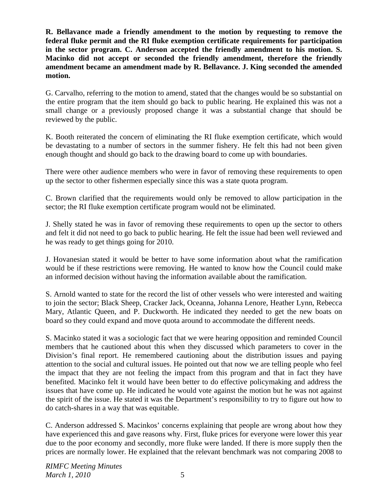**R. Bellavance made a friendly amendment to the motion by requesting to remove the federal fluke permit and the RI fluke exemption certificate requirements for participation in the sector program. C. Anderson accepted the friendly amendment to his motion. S. Macinko did not accept or seconded the friendly amendment, therefore the friendly amendment became an amendment made by R. Bellavance. J. King seconded the amended motion.**

G. Carvalho, referring to the motion to amend, stated that the changes would be so substantial on the entire program that the item should go back to public hearing. He explained this was not a small change or a previously proposed change it was a substantial change that should be reviewed by the public.

K. Booth reiterated the concern of eliminating the RI fluke exemption certificate, which would be devastating to a number of sectors in the summer fishery. He felt this had not been given enough thought and should go back to the drawing board to come up with boundaries.

There were other audience members who were in favor of removing these requirements to open up the sector to other fishermen especially since this was a state quota program.

C. Brown clarified that the requirements would only be removed to allow participation in the sector; the RI fluke exemption certificate program would not be eliminated.

J. Shelly stated he was in favor of removing these requirements to open up the sector to others and felt it did not need to go back to public hearing. He felt the issue had been well reviewed and he was ready to get things going for 2010.

J. Hovanesian stated it would be better to have some information about what the ramification would be if these restrictions were removing. He wanted to know how the Council could make an informed decision without having the information available about the ramification.

S. Arnold wanted to state for the record the list of other vessels who were interested and waiting to join the sector; Black Sheep, Cracker Jack, Oceanna, Johanna Lenore, Heather Lynn, Rebecca Mary, Atlantic Queen, and P. Duckworth. He indicated they needed to get the new boats on board so they could expand and move quota around to accommodate the different needs.

S. Macinko stated it was a sociologic fact that we were hearing opposition and reminded Council members that he cautioned about this when they discussed which parameters to cover in the Division's final report. He remembered cautioning about the distribution issues and paying attention to the social and cultural issues. He pointed out that now we are telling people who feel the impact that they are not feeling the impact from this program and that in fact they have benefited. Macinko felt it would have been better to do effective policymaking and address the issues that have come up. He indicated he would vote against the motion but he was not against the spirit of the issue. He stated it was the Department's responsibility to try to figure out how to do catch-shares in a way that was equitable.

C. Anderson addressed S. Macinkos' concerns explaining that people are wrong about how they have experienced this and gave reasons why. First, fluke prices for everyone were lower this year due to the poor economy and secondly, more fluke were landed. If there is more supply then the prices are normally lower. He explained that the relevant benchmark was not comparing 2008 to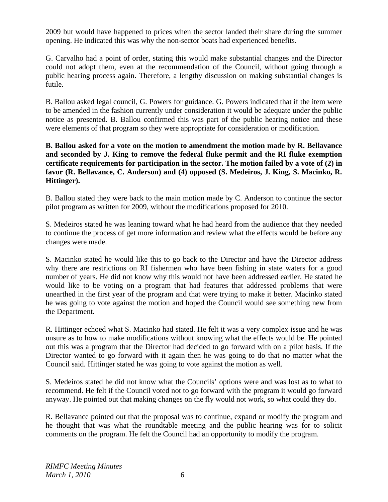2009 but would have happened to prices when the sector landed their share during the summer opening. He indicated this was why the non-sector boats had experienced benefits.

G. Carvalho had a point of order, stating this would make substantial changes and the Director could not adopt them, even at the recommendation of the Council, without going through a public hearing process again. Therefore, a lengthy discussion on making substantial changes is futile.

B. Ballou asked legal council, G. Powers for guidance. G. Powers indicated that if the item were to be amended in the fashion currently under consideration it would be adequate under the public notice as presented. B. Ballou confirmed this was part of the public hearing notice and these were elements of that program so they were appropriate for consideration or modification.

### **B. Ballou asked for a vote on the motion to amendment the motion made by R. Bellavance and seconded by J. King to remove the federal fluke permit and the RI fluke exemption certificate requirements for participation in the sector. The motion failed by a vote of (2) in**  favor (R. Bellavance, C. Anderson) and (4) opposed (S. Medeiros, J. King, S. Macinko, R. **Hittinger).**

B. Ballou stated they were back to the main motion made by C. Anderson to continue the sector pilot program as written for 2009, without the modifications proposed for 2010.

S. Medeiros stated he was leaning toward what he had heard from the audience that they needed to continue the process of get more information and review what the effects would be before any changes were made.

S. Macinko stated he would like this to go back to the Director and have the Director address why there are restrictions on RI fishermen who have been fishing in state waters for a good number of years. He did not know why this would not have been addressed earlier. He stated he would like to be voting on a program that had features that addressed problems that were unearthed in the first year of the program and that were trying to make it better. Macinko stated he was going to vote against the motion and hoped the Council would see something new from the Department.

R. Hittinger echoed what S. Macinko had stated. He felt it was a very complex issue and he was unsure as to how to make modifications without knowing what the effects would be. He pointed out this was a program that the Director had decided to go forward with on a pilot basis. If the Director wanted to go forward with it again then he was going to do that no matter what the Council said. Hittinger stated he was going to vote against the motion as well.

S. Medeiros stated he did not know what the Councils' options were and was lost as to what to recommend. He felt if the Council voted not to go forward with the program it would go forward anyway. He pointed out that making changes on the fly would not work, so what could they do.

R. Bellavance pointed out that the proposal was to continue, expand or modify the program and he thought that was what the roundtable meeting and the public hearing was for to solicit comments on the program. He felt the Council had an opportunity to modify the program.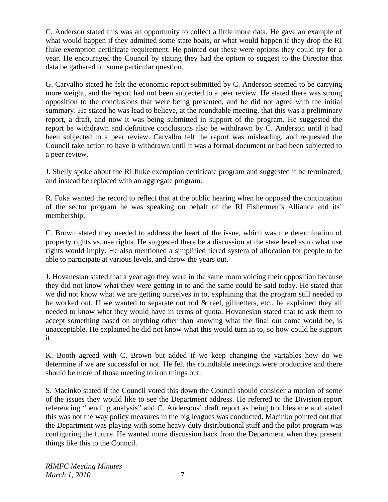C. Anderson stated this was an opportunity to collect a little more data. He gave an example of what would happen if they admitted some state boats, or what would happen if they drop the RI fluke exemption certificate requirement. He pointed out these were options they could try for a year. He encouraged the Council by stating they had the option to suggest to the Director that data be gathered on some particular question.

G. Carvalho stated he felt the economic report submitted by C. Anderson seemed to be carrying more weight, and the report had not been subjected to a peer review. He stated there was strong opposition to the conclusions that were being presented, and he did not agree with the initial summary. He stated he was lead to believe, at the roundtable meeting, that this was a preliminary report, a draft, and now it was being submitted in support of the program. He suggested the report be withdrawn and definitive conclusions also be withdrawn by C. Anderson until it had been subjected to a peer review. Carvalho felt the report was misleading, and requested the Council take action to have it withdrawn until it was a formal document or had been subjected to a peer review.

J. Shelly spoke about the RI fluke exemption certificate program and suggested it be terminated, and instead be replaced with an aggregate program.

R. Fuka wanted the record to reflect that at the public hearing when he opposed the continuation of the sector program he was speaking on behalf of the RI Fishermen's Alliance and its' membership.

C. Brown stated they needed to address the heart of the issue, which was the determination of property rights vs. use rights. He suggested there be a discussion at the state level as to what use rights would imply. He also mentioned a simplified tiered system of allocation for people to be able to participate at various levels, and throw the years out.

J. Hovanesian stated that a year ago they were in the same room voicing their opposition because they did not know what they were getting in to and the same could be said today. He stated that we did not know what we are getting ourselves in to, explaining that the program still needed to be worked out. If we wanted to separate out rod & reel, gillnetters, etc., he explained they all needed to know what they would have in terms of quota. Hovanesian stated that to ask them to accept something based on anything other than knowing what the final out come would be, is unacceptable. He explained he did not know what this would turn in to, so how could he support it.

K. Booth agreed with C. Brown but added if we keep changing the variables how do we determine if we are successful or not. He felt the roundtable meetings were productive and there should be more of those meeting to iron things out.

S. Macinko stated if the Council voted this down the Council should consider a motion of some of the issues they would like to see the Department address. He referred to the Division report referencing "pending analysis" and C. Andersons' draft report as being troublesome and stated this was not the way policy measures in the big leagues was conducted. Macinko pointed out that the Department was playing with some heavy-duty distributional stuff and the pilot program was configuring the future. He wanted more discussion back from the Department when they present things like this to the Council.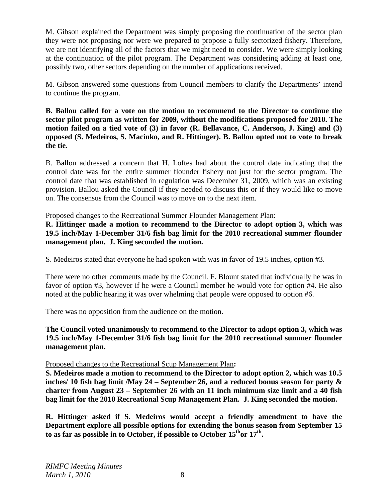M. Gibson explained the Department was simply proposing the continuation of the sector plan they were not proposing nor were we prepared to propose a fully sectorized fishery. Therefore, we are not identifying all of the factors that we might need to consider. We were simply looking at the continuation of the pilot program. The Department was considering adding at least one, possibly two, other sectors depending on the number of applications received.

M. Gibson answered some questions from Council members to clarify the Departments' intend to continue the program.

**B. Ballou called for a vote on the motion to recommend to the Director to continue the sector pilot program as written for 2009, without the modifications proposed for 2010. The motion failed on a tied vote of (3) in favor (R. Bellavance, C. Anderson, J. King) and (3) opposed (S. Medeiros, S. Macinko, and R. Hittinger). B. Ballou opted not to vote to break the tie.**

B. Ballou addressed a concern that H. Loftes had about the control date indicating that the control date was for the entire summer flounder fishery not just for the sector program. The control date that was established in regulation was December 31, 2009, which was an existing provision. Ballou asked the Council if they needed to discuss this or if they would like to move on. The consensus from the Council was to move on to the next item.

Proposed changes to the Recreational Summer Flounder Management Plan:

**R. Hittinger made a motion to recommend to the Director to adopt option 3, which was 19.5 inch/May 1-December 31/6 fish bag limit for the 2010 recreational summer flounder management plan. J. King seconded the motion.** 

S. Medeiros stated that everyone he had spoken with was in favor of 19.5 inches, option #3.

There were no other comments made by the Council. F. Blount stated that individually he was in favor of option #3, however if he were a Council member he would vote for option #4. He also noted at the public hearing it was over whelming that people were opposed to option #6.

There was no opposition from the audience on the motion.

**The Council voted unanimously to recommend to the Director to adopt option 3, which was 19.5 inch/May 1-December 31/6 fish bag limit for the 2010 recreational summer flounder management plan.**

## Proposed changes to the Recreational Scup Management Plan**:**

**S. Medeiros made a motion to recommend to the Director to adopt option 2, which was 10.5 inches/ 10 fish bag limit /May 24 – September 26, and a reduced bonus season for party & charter from August 23 – September 26 with an 11 inch minimum size limit and a 40 fish bag limit for the 2010 Recreational Scup Management Plan. J. King seconded the motion.** 

**R. Hittinger asked if S. Medeiros would accept a friendly amendment to have the Department explore all possible options for extending the bonus season from September 15**  to as far as possible in to October, if possible to October 15<sup>th</sup>or 17<sup>th</sup>.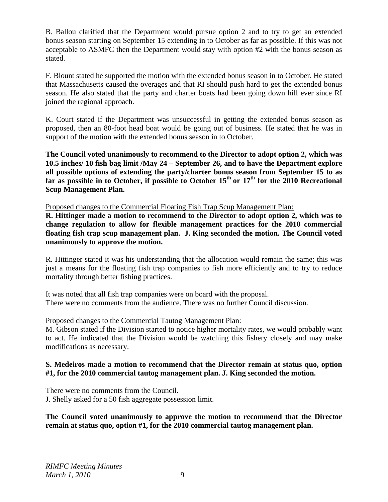B. Ballou clarified that the Department would pursue option 2 and to try to get an extended bonus season starting on September 15 extending in to October as far as possible. If this was not acceptable to ASMFC then the Department would stay with option #2 with the bonus season as stated.

F. Blount stated he supported the motion with the extended bonus season in to October. He stated that Massachusetts caused the overages and that RI should push hard to get the extended bonus season. He also stated that the party and charter boats had been going down hill ever since RI joined the regional approach.

K. Court stated if the Department was unsuccessful in getting the extended bonus season as proposed, then an 80-foot head boat would be going out of business. He stated that he was in support of the motion with the extended bonus season in to October.

**The Council voted unanimously to recommend to the Director to adopt option 2, which was 10.5 inches/ 10 fish bag limit /May 24 – September 26, and to have the Department explore all possible options of extending the party/charter bonus season from September 15 to as**  far as possible in to October, if possible to October 15<sup>th</sup> or 17<sup>th</sup> for the 2010 Recreational **Scup Management Plan.** 

Proposed changes to the Commercial Floating Fish Trap Scup Management Plan:

**R. Hittinger made a motion to recommend to the Director to adopt option 2, which was to change regulation to allow for flexible management practices for the 2010 commercial floating fish trap scup management plan. J. King seconded the motion. The Council voted unanimously to approve the motion.** 

R. Hittinger stated it was his understanding that the allocation would remain the same; this was just a means for the floating fish trap companies to fish more efficiently and to try to reduce mortality through better fishing practices.

It was noted that all fish trap companies were on board with the proposal. There were no comments from the audience. There was no further Council discussion.

## Proposed changes to the Commercial Tautog Management Plan:

M. Gibson stated if the Division started to notice higher mortality rates, we would probably want to act. He indicated that the Division would be watching this fishery closely and may make modifications as necessary.

## **S. Medeiros made a motion to recommend that the Director remain at status quo, option #1, for the 2010 commercial tautog management plan. J. King seconded the motion.**

There were no comments from the Council. J. Shelly asked for a 50 fish aggregate possession limit.

**The Council voted unanimously to approve the motion to recommend that the Director remain at status quo, option #1, for the 2010 commercial tautog management plan.**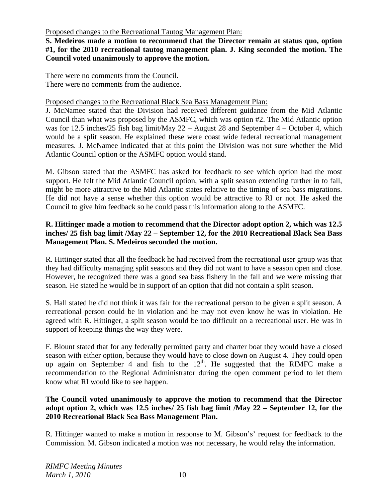### Proposed changes to the Recreational Tautog Management Plan:

**S. Medeiros made a motion to recommend that the Director remain at status quo, option #1, for the 2010 recreational tautog management plan. J. King seconded the motion. The Council voted unanimously to approve the motion.** 

There were no comments from the Council. There were no comments from the audience.

## Proposed changes to the Recreational Black Sea Bass Management Plan:

J. McNamee stated that the Division had received different guidance from the Mid Atlantic Council than what was proposed by the ASMFC, which was option #2. The Mid Atlantic option was for 12.5 inches/25 fish bag limit/May 22 – August 28 and September 4 – October 4, which would be a split season. He explained these were coast wide federal recreational management measures. J. McNamee indicated that at this point the Division was not sure whether the Mid Atlantic Council option or the ASMFC option would stand.

M. Gibson stated that the ASMFC has asked for feedback to see which option had the most support. He felt the Mid Atlantic Council option, with a split season extending further in to fall, might be more attractive to the Mid Atlantic states relative to the timing of sea bass migrations. He did not have a sense whether this option would be attractive to RI or not. He asked the Council to give him feedback so he could pass this information along to the ASMFC.

## **R. Hittinger made a motion to recommend that the Director adopt option 2, which was 12.5 inches/ 25 fish bag limit /May 22 – September 12, for the 2010 Recreational Black Sea Bass Management Plan. S. Medeiros seconded the motion.**

R. Hittinger stated that all the feedback he had received from the recreational user group was that they had difficulty managing split seasons and they did not want to have a season open and close. However, he recognized there was a good sea bass fishery in the fall and we were missing that season. He stated he would be in support of an option that did not contain a split season.

S. Hall stated he did not think it was fair for the recreational person to be given a split season. A recreational person could be in violation and he may not even know he was in violation. He agreed with R. Hittinger, a split season would be too difficult on a recreational user. He was in support of keeping things the way they were.

F. Blount stated that for any federally permitted party and charter boat they would have a closed season with either option, because they would have to close down on August 4. They could open up again on September 4 and fish to the  $12<sup>th</sup>$ . He suggested that the RIMFC make a recommendation to the Regional Administrator during the open comment period to let them know what RI would like to see happen.

## **The Council voted unanimously to approve the motion to recommend that the Director adopt option 2, which was 12.5 inches/ 25 fish bag limit /May 22 – September 12, for the 2010 Recreational Black Sea Bass Management Plan.**

R. Hittinger wanted to make a motion in response to M. Gibson's' request for feedback to the Commission. M. Gibson indicated a motion was not necessary, he would relay the information.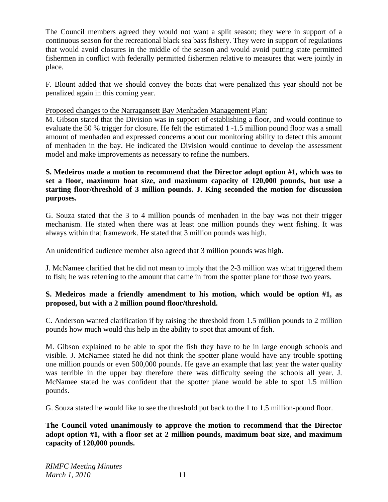The Council members agreed they would not want a split season; they were in support of a continuous season for the recreational black sea bass fishery. They were in support of regulations that would avoid closures in the middle of the season and would avoid putting state permitted fishermen in conflict with federally permitted fishermen relative to measures that were jointly in place.

F. Blount added that we should convey the boats that were penalized this year should not be penalized again in this coming year.

## Proposed changes to the Narragansett Bay Menhaden Management Plan:

M. Gibson stated that the Division was in support of establishing a floor, and would continue to evaluate the 50 % trigger for closure. He felt the estimated 1 -1.5 million pound floor was a small amount of menhaden and expressed concerns about our monitoring ability to detect this amount of menhaden in the bay. He indicated the Division would continue to develop the assessment model and make improvements as necessary to refine the numbers.

## **S. Medeiros made a motion to recommend that the Director adopt option #1, which was to set a floor, maximum boat size, and maximum capacity of 120,000 pounds, but use a starting floor/threshold of 3 million pounds. J. King seconded the motion for discussion purposes.**

G. Souza stated that the 3 to 4 million pounds of menhaden in the bay was not their trigger mechanism. He stated when there was at least one million pounds they went fishing. It was always within that framework. He stated that 3 million pounds was high.

An unidentified audience member also agreed that 3 million pounds was high.

J. McNamee clarified that he did not mean to imply that the 2-3 million was what triggered them to fish; he was referring to the amount that came in from the spotter plane for those two years.

## **S. Medeiros made a friendly amendment to his motion, which would be option #1, as proposed, but with a 2 million pound floor/threshold.**

C. Anderson wanted clarification if by raising the threshold from 1.5 million pounds to 2 million pounds how much would this help in the ability to spot that amount of fish.

M. Gibson explained to be able to spot the fish they have to be in large enough schools and visible. J. McNamee stated he did not think the spotter plane would have any trouble spotting one million pounds or even 500,000 pounds. He gave an example that last year the water quality was terrible in the upper bay therefore there was difficulty seeing the schools all year. J. McNamee stated he was confident that the spotter plane would be able to spot 1.5 million pounds.

G. Souza stated he would like to see the threshold put back to the 1 to 1.5 million-pound floor.

**The Council voted unanimously to approve the motion to recommend that the Director adopt option #1, with a floor set at 2 million pounds, maximum boat size, and maximum capacity of 120,000 pounds.**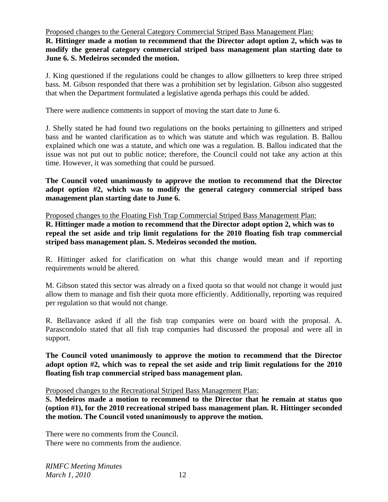Proposed changes to the General Category Commercial Striped Bass Management Plan:

**R. Hittinger made a motion to recommend that the Director adopt option 2, which was to modify the general category commercial striped bass management plan starting date to June 6. S. Medeiros seconded the motion.** 

J. King questioned if the regulations could be changes to allow gillnetters to keep three striped bass. M. Gibson responded that there was a prohibition set by legislation. Gibson also suggested that when the Department formulated a legislative agenda perhaps this could be added.

There were audience comments in support of moving the start date to June 6.

J. Shelly stated he had found two regulations on the books pertaining to gillnetters and striped bass and he wanted clarification as to which was statute and which was regulation. B. Ballou explained which one was a statute, and which one was a regulation. B. Ballou indicated that the issue was not put out to public notice; therefore, the Council could not take any action at this time. However, it was something that could be pursued.

**The Council voted unanimously to approve the motion to recommend that the Director adopt option #2, which was to modify the general category commercial striped bass management plan starting date to June 6.**

Proposed changes to the Floating Fish Trap Commercial Striped Bass Management Plan: **R. Hittinger made a motion to recommend that the Director adopt option 2, which was to repeal the set aside and trip limit regulations for the 2010 floating fish trap commercial striped bass management plan. S. Medeiros seconded the motion.** 

R. Hittinger asked for clarification on what this change would mean and if reporting requirements would be altered.

M. Gibson stated this sector was already on a fixed quota so that would not change it would just allow them to manage and fish their quota more efficiently. Additionally, reporting was required per regulation so that would not change.

R. Bellavance asked if all the fish trap companies were on board with the proposal. A. Parascondolo stated that all fish trap companies had discussed the proposal and were all in support.

**The Council voted unanimously to approve the motion to recommend that the Director adopt option #2, which was to repeal the set aside and trip limit regulations for the 2010 floating fish trap commercial striped bass management plan.**

Proposed changes to the Recreational Striped Bass Management Plan:

**S. Medeiros made a motion to recommend to the Director that he remain at status quo (option #1), for the 2010 recreational striped bass management plan. R. Hittinger seconded the motion. The Council voted unanimously to approve the motion.**

There were no comments from the Council. There were no comments from the audience.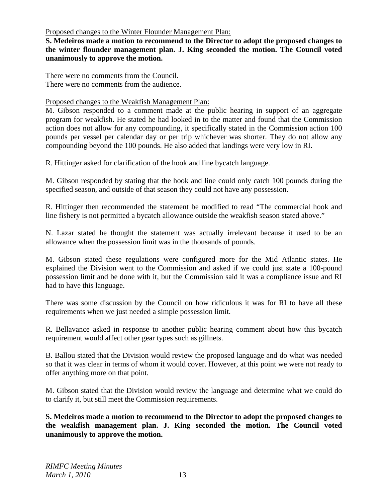Proposed changes to the Winter Flounder Management Plan:

**S. Medeiros made a motion to recommend to the Director to adopt the proposed changes to the winter flounder management plan. J. King seconded the motion. The Council voted unanimously to approve the motion.**

There were no comments from the Council. There were no comments from the audience.

## Proposed changes to the Weakfish Management Plan:

M. Gibson responded to a comment made at the public hearing in support of an aggregate program for weakfish. He stated he had looked in to the matter and found that the Commission action does not allow for any compounding, it specifically stated in the Commission action 100 pounds per vessel per calendar day or per trip whichever was shorter. They do not allow any compounding beyond the 100 pounds. He also added that landings were very low in RI.

R. Hittinger asked for clarification of the hook and line bycatch language.

M. Gibson responded by stating that the hook and line could only catch 100 pounds during the specified season, and outside of that season they could not have any possession.

R. Hittinger then recommended the statement be modified to read "The commercial hook and line fishery is not permitted a bycatch allowance outside the weakfish season stated above."

N. Lazar stated he thought the statement was actually irrelevant because it used to be an allowance when the possession limit was in the thousands of pounds.

M. Gibson stated these regulations were configured more for the Mid Atlantic states. He explained the Division went to the Commission and asked if we could just state a 100-pound possession limit and be done with it, but the Commission said it was a compliance issue and RI had to have this language.

There was some discussion by the Council on how ridiculous it was for RI to have all these requirements when we just needed a simple possession limit.

R. Bellavance asked in response to another public hearing comment about how this bycatch requirement would affect other gear types such as gillnets.

B. Ballou stated that the Division would review the proposed language and do what was needed so that it was clear in terms of whom it would cover. However, at this point we were not ready to offer anything more on that point.

M. Gibson stated that the Division would review the language and determine what we could do to clarify it, but still meet the Commission requirements.

**S. Medeiros made a motion to recommend to the Director to adopt the proposed changes to the weakfish management plan. J. King seconded the motion. The Council voted unanimously to approve the motion.**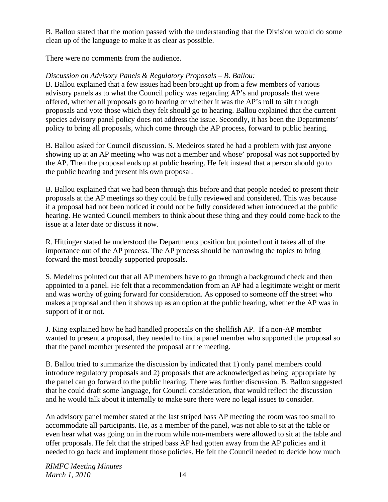B. Ballou stated that the motion passed with the understanding that the Division would do some clean up of the language to make it as clear as possible.

There were no comments from the audience.

# *Discussion on Advisory Panels & Regulatory Proposals – B. Ballou:*

B. Ballou explained that a few issues had been brought up from a few members of various advisory panels as to what the Council policy was regarding AP's and proposals that were offered, whether all proposals go to hearing or whether it was the AP's roll to sift through proposals and vote those which they felt should go to hearing. Ballou explained that the current species advisory panel policy does not address the issue. Secondly, it has been the Departments' policy to bring all proposals, which come through the AP process, forward to public hearing.

B. Ballou asked for Council discussion. S. Medeiros stated he had a problem with just anyone showing up at an AP meeting who was not a member and whose' proposal was not supported by the AP. Then the proposal ends up at public hearing. He felt instead that a person should go to the public hearing and present his own proposal.

B. Ballou explained that we had been through this before and that people needed to present their proposals at the AP meetings so they could be fully reviewed and considered. This was because if a proposal had not been noticed it could not be fully considered when introduced at the public hearing. He wanted Council members to think about these thing and they could come back to the issue at a later date or discuss it now.

R. Hittinger stated he understood the Departments position but pointed out it takes all of the importance out of the AP process. The AP process should be narrowing the topics to bring forward the most broadly supported proposals.

S. Medeiros pointed out that all AP members have to go through a background check and then appointed to a panel. He felt that a recommendation from an AP had a legitimate weight or merit and was worthy of going forward for consideration. As opposed to someone off the street who makes a proposal and then it shows up as an option at the public hearing, whether the AP was in support of it or not.

J. King explained how he had handled proposals on the shellfish AP. If a non-AP member wanted to present a proposal, they needed to find a panel member who supported the proposal so that the panel member presented the proposal at the meeting.

B. Ballou tried to summarize the discussion by indicated that 1) only panel members could introduce regulatory proposals and 2) proposals that are acknowledged as being appropriate by the panel can go forward to the public hearing. There was further discussion. B. Ballou suggested that he could draft some language, for Council consideration, that would reflect the discussion and he would talk about it internally to make sure there were no legal issues to consider.

An advisory panel member stated at the last striped bass AP meeting the room was too small to accommodate all participants. He, as a member of the panel, was not able to sit at the table or even hear what was going on in the room while non-members were allowed to sit at the table and offer proposals. He felt that the striped bass AP had gotten away from the AP policies and it needed to go back and implement those policies. He felt the Council needed to decide how much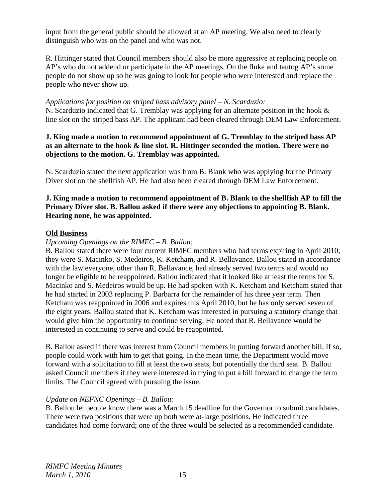input from the general public should be allowed at an AP meeting. We also need to clearly distinguish who was on the panel and who was not.

R. Hittinger stated that Council members should also be more aggressive at replacing people on AP's who do not addend or participate in the AP meetings. On the fluke and tautog AP's some people do not show up so he was going to look for people who were interested and replace the people who never show up.

## *Applications for position on striped bass advisory panel – N. Scarduzio:*

N. Scarduzio indicated that G. Tremblay was applying for an alternate position in the hook & line slot on the striped bass AP. The applicant had been cleared through DEM Law Enforcement.

## **J. King made a motion to recommend appointment of G. Tremblay to the striped bass AP as an alternate to the hook & line slot. R. Hittinger seconded the motion. There were no objections to the motion. G. Tremblay was appointed.**

N. Scarduzio stated the next application was from B. Blank who was applying for the Primary Diver slot on the shellfish AP. He had also been cleared through DEM Law Enforcement.

## **J. King made a motion to recommend appointment of B. Blank to the shellfish AP to fill the Primary Diver slot. B. Ballou asked if there were any objections to appointing B. Blank. Hearing none, he was appointed.**

## **Old Business**

## *Upcoming Openings on the RIMFC – B. Ballou:*

B. Ballou stated there were four current RIMFC members who had terms expiring in April 2010; they were S. Macinko, S. Medeiros, K. Ketcham, and R. Bellavance. Ballou stated in accordance with the law everyone, other than R. Bellavance, had already served two terms and would no longer be eligible to be reappointed. Ballou indicated that it looked like at least the terms for S. Macinko and S. Medeiros would be up. He had spoken with K. Ketcham and Ketcham stated that he had started in 2003 replacing P. Barbarra for the remainder of his three year term. Then Ketcham was reappointed in 2006 and expires this April 2010, but he has only served seven of the eight years. Ballou stated that K. Ketcham was interested in pursuing a statutory change that would give him the opportunity to continue serving. He noted that R. Bellavance would be interested in continuing to serve and could be reappointed.

B. Ballou asked if there was interest from Council members in putting forward another bill. If so, people could work with him to get that going. In the mean time, the Department would move forward with a solicitation to fill at least the two seats, but potentially the third seat. B. Ballou asked Council members if they were interested in trying to put a bill forward to change the term limits. The Council agreed with pursuing the issue.

## *Update on NEFNC Openings – B. Ballou:*

B. Ballou let people know there was a March 15 deadline for the Governor to submit candidates. There were two positions that were up both were at-large positions. He indicated three candidates had come forward; one of the three would be selected as a recommended candidate.